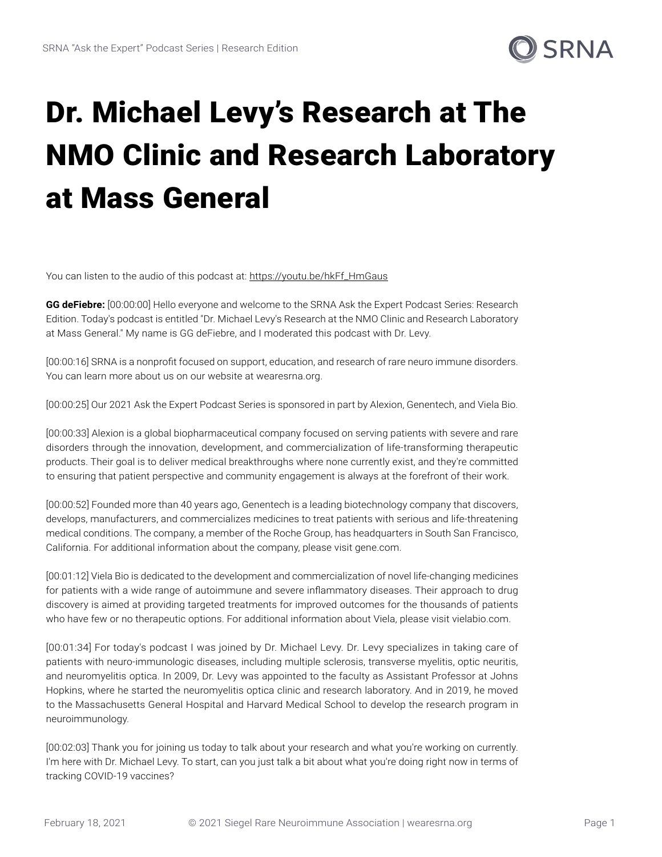

## Dr. Michael Levy's Research at The NMO Clinic and Research Laboratory at Mass General

You can listen to the audio of this podcast at: [https://youtu.be/hkFf\\_HmGaus](https://youtu.be/hkFf_HmGaus)

**GG deFiebre:** [00:00:00] Hello everyone and welcome to the SRNA Ask the Expert Podcast Series: Research Edition. Today's podcast is entitled "Dr. Michael Levy's Research at the NMO Clinic and Research Laboratory at Mass General." My name is GG deFiebre, and I moderated this podcast with Dr. Levy.

[00:00:16] SRNA is a nonprofit focused on support, education, and research of rare neuro immune disorders. You can learn more about us on our website at wearesrna.org.

[00:00:25] Our 2021 Ask the Expert Podcast Series is sponsored in part by Alexion, Genentech, and Viela Bio.

[00:00:33] Alexion is a global biopharmaceutical company focused on serving patients with severe and rare disorders through the innovation, development, and commercialization of life-transforming therapeutic products. Their goal is to deliver medical breakthroughs where none currently exist, and they're committed to ensuring that patient perspective and community engagement is always at the forefront of their work.

[00:00:52] Founded more than 40 years ago, Genentech is a leading biotechnology company that discovers, develops, manufacturers, and commercializes medicines to treat patients with serious and life-threatening medical conditions. The company, a member of the Roche Group, has headquarters in South San Francisco, California. For additional information about the company, please visit gene.com.

[00:01:12] Viela Bio is dedicated to the development and commercialization of novel life-changing medicines for patients with a wide range of autoimmune and severe inflammatory diseases. Their approach to drug discovery is aimed at providing targeted treatments for improved outcomes for the thousands of patients who have few or no therapeutic options. For additional information about Viela, please visit vielabio.com.

[00:01:34] For today's podcast I was joined by Dr. Michael Levy. Dr. Levy specializes in taking care of patients with neuro-immunologic diseases, including multiple sclerosis, transverse myelitis, optic neuritis, and neuromyelitis optica. In 2009, Dr. Levy was appointed to the faculty as Assistant Professor at Johns Hopkins, where he started the neuromyelitis optica clinic and research laboratory. And in 2019, he moved to the Massachusetts General Hospital and Harvard Medical School to develop the research program in neuroimmunology.

[00:02:03] Thank you for joining us today to talk about your research and what you're working on currently. I'm here with Dr. Michael Levy. To start, can you just talk a bit about what you're doing right now in terms of tracking COVID-19 vaccines?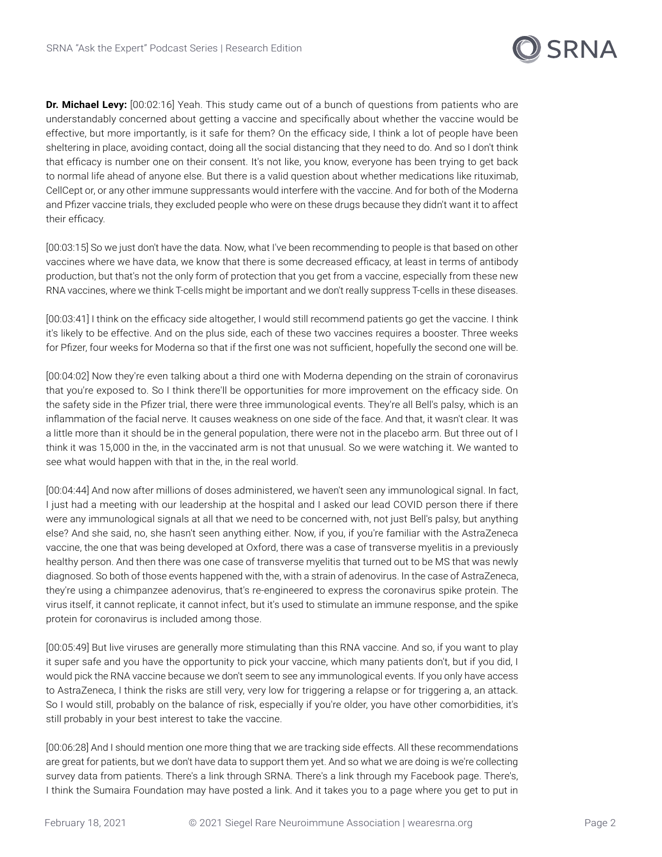

**Dr. Michael Levy:** [00:02:16] Yeah. This study came out of a bunch of questions from patients who are understandably concerned about getting a vaccine and specifically about whether the vaccine would be effective, but more importantly, is it safe for them? On the efficacy side, I think a lot of people have been sheltering in place, avoiding contact, doing all the social distancing that they need to do. And so I don't think that efficacy is number one on their consent. It's not like, you know, everyone has been trying to get back to normal life ahead of anyone else. But there is a valid question about whether medications like rituximab, CellCept or, or any other immune suppressants would interfere with the vaccine. And for both of the Moderna and Pfizer vaccine trials, they excluded people who were on these drugs because they didn't want it to affect their efficacy.

[00:03:15] So we just don't have the data. Now, what I've been recommending to people is that based on other vaccines where we have data, we know that there is some decreased efficacy, at least in terms of antibody production, but that's not the only form of protection that you get from a vaccine, especially from these new RNA vaccines, where we think T-cells might be important and we don't really suppress T-cells in these diseases.

[00:03:41] I think on the efficacy side altogether, I would still recommend patients go get the vaccine. I think it's likely to be effective. And on the plus side, each of these two vaccines requires a booster. Three weeks for Pfizer, four weeks for Moderna so that if the first one was not sufficient, hopefully the second one will be.

[00:04:02] Now they're even talking about a third one with Moderna depending on the strain of coronavirus that you're exposed to. So I think there'll be opportunities for more improvement on the efficacy side. On the safety side in the Pfizer trial, there were three immunological events. They're all Bell's palsy, which is an inflammation of the facial nerve. It causes weakness on one side of the face. And that, it wasn't clear. It was a little more than it should be in the general population, there were not in the placebo arm. But three out of I think it was 15,000 in the, in the vaccinated arm is not that unusual. So we were watching it. We wanted to see what would happen with that in the, in the real world.

[00:04:44] And now after millions of doses administered, we haven't seen any immunological signal. In fact, I just had a meeting with our leadership at the hospital and I asked our lead COVID person there if there were any immunological signals at all that we need to be concerned with, not just Bell's palsy, but anything else? And she said, no, she hasn't seen anything either. Now, if you, if you're familiar with the AstraZeneca vaccine, the one that was being developed at Oxford, there was a case of transverse myelitis in a previously healthy person. And then there was one case of transverse myelitis that turned out to be MS that was newly diagnosed. So both of those events happened with the, with a strain of adenovirus. In the case of AstraZeneca, they're using a chimpanzee adenovirus, that's re-engineered to express the coronavirus spike protein. The virus itself, it cannot replicate, it cannot infect, but it's used to stimulate an immune response, and the spike protein for coronavirus is included among those.

[00:05:49] But live viruses are generally more stimulating than this RNA vaccine. And so, if you want to play it super safe and you have the opportunity to pick your vaccine, which many patients don't, but if you did, I would pick the RNA vaccine because we don't seem to see any immunological events. If you only have access to AstraZeneca, I think the risks are still very, very low for triggering a relapse or for triggering a, an attack. So I would still, probably on the balance of risk, especially if you're older, you have other comorbidities, it's still probably in your best interest to take the vaccine.

[00:06:28] And I should mention one more thing that we are tracking side effects. All these recommendations are great for patients, but we don't have data to support them yet. And so what we are doing is we're collecting survey data from patients. There's a link through SRNA. There's a link through my Facebook page. There's, I think the Sumaira Foundation may have posted a link. And it takes you to a page where you get to put in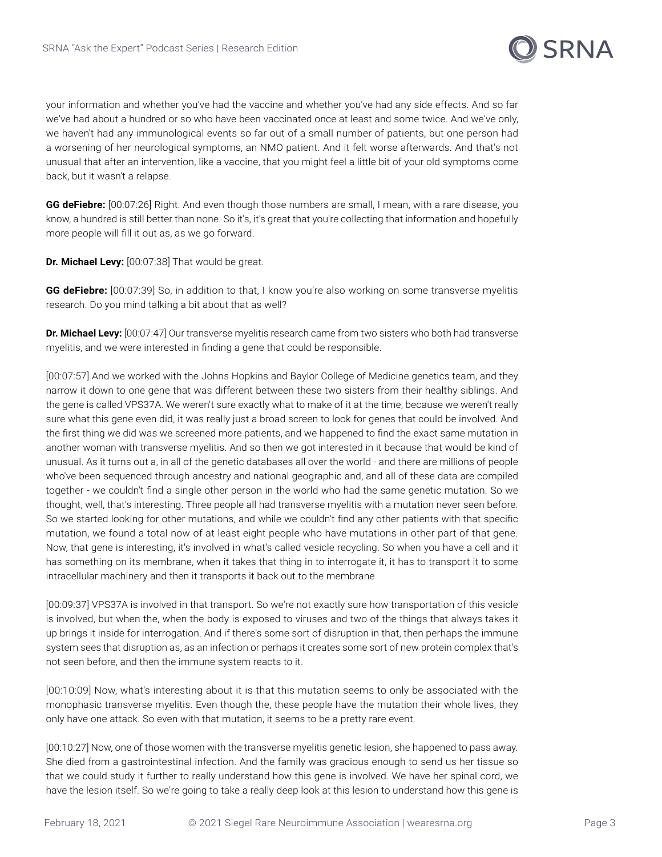

your information and whether you've had the vaccine and whether you've had any side effects. And so far we've had about a hundred or so who have been vaccinated once at least and some twice. And we've only, we haven't had any immunological events so far out of a small number of patients, but one person had a worsening of her neurological symptoms, an NMO patient. And it felt worse afterwards. And that's not unusual that after an intervention, like a vaccine, that you might feel a little bit of your old symptoms come back, but it wasn't a relapse.

**GG deFiebre:** [00:07:26] Right. And even though those numbers are small, I mean, with a rare disease, you know, a hundred is still better than none. So it's, it's great that you're collecting that information and hopefully more people will fill it out as, as we go forward.

**Dr. Michael Levy:** [00:07:38] That would be great.

GG deFiebre: [00:07:39] So, in addition to that, I know you're also working on some transverse myelitis research. Do you mind talking a bit about that as well?

**Dr. Michael Levy:** [00:07:47] Our transverse myelitis research came from two sisters who both had transverse myelitis, and we were interested in finding a gene that could be responsible.

[00:07:57] And we worked with the Johns Hopkins and Baylor College of Medicine genetics team, and they narrow it down to one gene that was different between these two sisters from their healthy siblings. And the gene is called VPS37A. We weren't sure exactly what to make of it at the time, because we weren't really sure what this gene even did, it was really just a broad screen to look for genes that could be involved. And the first thing we did was we screened more patients, and we happened to find the exact same mutation in another woman with transverse myelitis. And so then we got interested in it because that would be kind of unusual. As it turns out a, in all of the genetic databases all over the world - and there are millions of people who've been sequenced through ancestry and national geographic and, and all of these data are compiled together - we couldn't find a single other person in the world who had the same genetic mutation. So we thought, well, that's interesting. Three people all had transverse myelitis with a mutation never seen before. So we started looking for other mutations, and while we couldn't find any other patients with that specific mutation, we found a total now of at least eight people who have mutations in other part of that gene. Now, that gene is interesting, it's involved in what's called vesicle recycling. So when you have a cell and it has something on its membrane, when it takes that thing in to interrogate it, it has to transport it to some intracellular machinery and then it transports it back out to the membrane

[00:09:37] VPS37A is involved in that transport. So we're not exactly sure how transportation of this vesicle is involved, but when the, when the body is exposed to viruses and two of the things that always takes it up brings it inside for interrogation. And if there's some sort of disruption in that, then perhaps the immune system sees that disruption as, as an infection or perhaps it creates some sort of new protein complex that's not seen before, and then the immune system reacts to it.

[00:10:09] Now, what's interesting about it is that this mutation seems to only be associated with the monophasic transverse myelitis. Even though the, these people have the mutation their whole lives, they only have one attack. So even with that mutation, it seems to be a pretty rare event.

[00:10:27] Now, one of those women with the transverse myelitis genetic lesion, she happened to pass away. She died from a gastrointestinal infection. And the family was gracious enough to send us her tissue so that we could study it further to really understand how this gene is involved. We have her spinal cord, we have the lesion itself. So we're going to take a really deep look at this lesion to understand how this gene is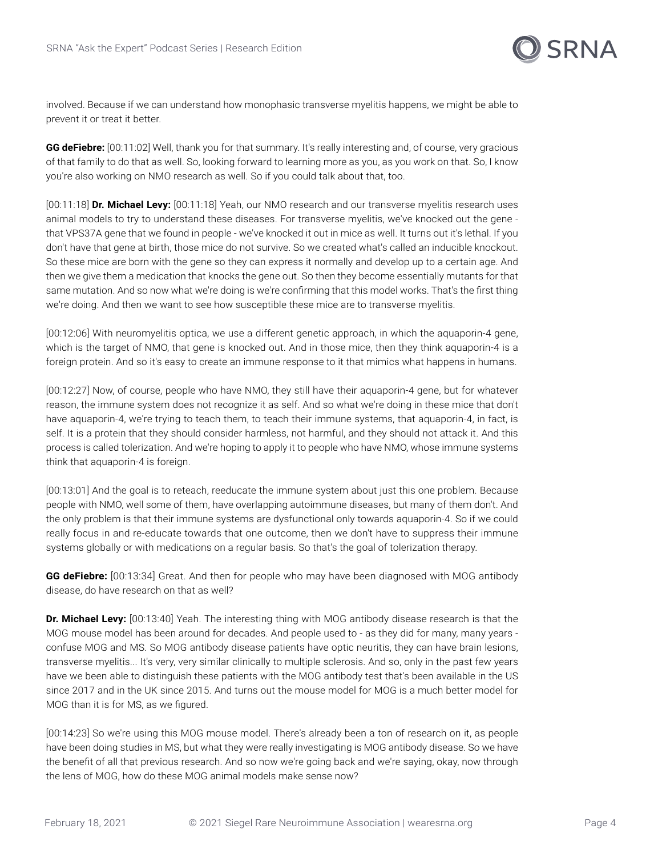

involved. Because if we can understand how monophasic transverse myelitis happens, we might be able to prevent it or treat it better.

**GG deFiebre:** [00:11:02] Well, thank you for that summary. It's really interesting and, of course, very gracious of that family to do that as well. So, looking forward to learning more as you, as you work on that. So, I know you're also working on NMO research as well. So if you could talk about that, too.

[00:11:18] **Dr. Michael Levy:** [00:11:18] Yeah, our NMO research and our transverse myelitis research uses animal models to try to understand these diseases. For transverse myelitis, we've knocked out the gene that VPS37A gene that we found in people - we've knocked it out in mice as well. It turns out it's lethal. If you don't have that gene at birth, those mice do not survive. So we created what's called an inducible knockout. So these mice are born with the gene so they can express it normally and develop up to a certain age. And then we give them a medication that knocks the gene out. So then they become essentially mutants for that same mutation. And so now what we're doing is we're confirming that this model works. That's the first thing we're doing. And then we want to see how susceptible these mice are to transverse myelitis.

[00:12:06] With neuromyelitis optica, we use a different genetic approach, in which the aquaporin-4 gene, which is the target of NMO, that gene is knocked out. And in those mice, then they think aquaporin-4 is a foreign protein. And so it's easy to create an immune response to it that mimics what happens in humans.

[00:12:27] Now, of course, people who have NMO, they still have their aquaporin-4 gene, but for whatever reason, the immune system does not recognize it as self. And so what we're doing in these mice that don't have aquaporin-4, we're trying to teach them, to teach their immune systems, that aquaporin-4, in fact, is self. It is a protein that they should consider harmless, not harmful, and they should not attack it. And this process is called tolerization. And we're hoping to apply it to people who have NMO, whose immune systems think that aquaporin-4 is foreign.

[00:13:01] And the goal is to reteach, reeducate the immune system about just this one problem. Because people with NMO, well some of them, have overlapping autoimmune diseases, but many of them don't. And the only problem is that their immune systems are dysfunctional only towards aquaporin-4. So if we could really focus in and re-educate towards that one outcome, then we don't have to suppress their immune systems globally or with medications on a regular basis. So that's the goal of tolerization therapy.

**GG deFiebre:** [00:13:34] Great. And then for people who may have been diagnosed with MOG antibody disease, do have research on that as well?

**Dr. Michael Levy:** [00:13:40] Yeah. The interesting thing with MOG antibody disease research is that the MOG mouse model has been around for decades. And people used to - as they did for many, many years confuse MOG and MS. So MOG antibody disease patients have optic neuritis, they can have brain lesions, transverse myelitis... It's very, very similar clinically to multiple sclerosis. And so, only in the past few years have we been able to distinguish these patients with the MOG antibody test that's been available in the US since 2017 and in the UK since 2015. And turns out the mouse model for MOG is a much better model for MOG than it is for MS, as we figured.

[00:14:23] So we're using this MOG mouse model. There's already been a ton of research on it, as people have been doing studies in MS, but what they were really investigating is MOG antibody disease. So we have the benefit of all that previous research. And so now we're going back and we're saying, okay, now through the lens of MOG, how do these MOG animal models make sense now?